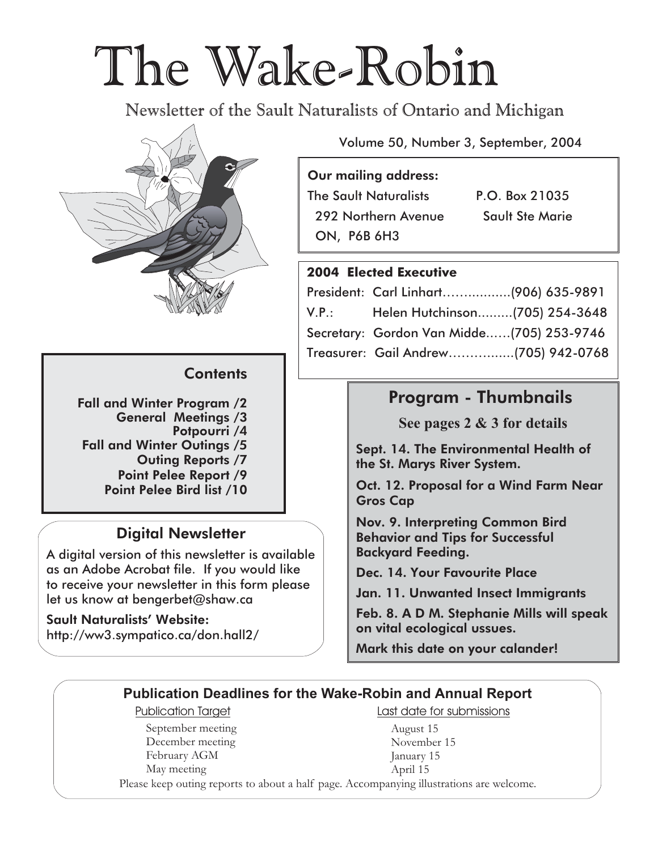# The Wake-Robin

Newsletter of the Sault Naturalists of Ontario and Michigan



#### **Contents**

Fall and Winter Program /2 General Meetings /3 Potpourri /4 Fall and Winter Outings /5 Outing Reports /7 Point Pelee Report /9 Point Pelee Bird list /10

### **Digital Newsletter**

A digital version of this newsletter is available as an Adobe Acrobat file. If you would like to receive your newsletter in this form please let us know at bengerbet@shaw.ca

**Sault Naturalists' Website:** http://ww3.sympatico.ca/don.hall2/ Volume 50, Number 3, September, 2004

#### **Our mailing address**:

The Sault Naturalists P.O. Box 21035 292 Northern Avenue Sault Ste Marie ON, P6B 6H3

#### **2004 Elected Executive**

|       | President: Carl Linhart(906) 635-9891     |  |
|-------|-------------------------------------------|--|
| V.P.: | Helen Hutchinson(705) 254-3648            |  |
|       | Secretary: Gordon Van Midde(705) 253-9746 |  |
|       | Treasurer: Gail Andrew(705) 942-0768      |  |

## **Program - Thumbnails**

**See pages 2 & 3 for details**

Sept. 14. The Environmental Health of the St. Marys River System.

Oct. 12. Proposal for a Wind Farm Near Gros Cap

Nov. 9. Interpreting Common Bird Behavior and Tips for Successful Backyard Feeding.

Dec. 14. Your Favourite Place

Jan. 11. Unwanted Insect Immigrants

Feb. 8. A D M. Stephanie Mills will speak on vital ecological ussues.

**Mark this date on your calander!**

#### **Publication Deadlines for the Wake-Robin and Annual Report**

September meeting December meeting February AGM May meeting

Publication Target **Last date for submissions** 

August 15 November 15 January 15 April 15

Please keep outing reports to about a half page. Accompanying illustrations are welcome.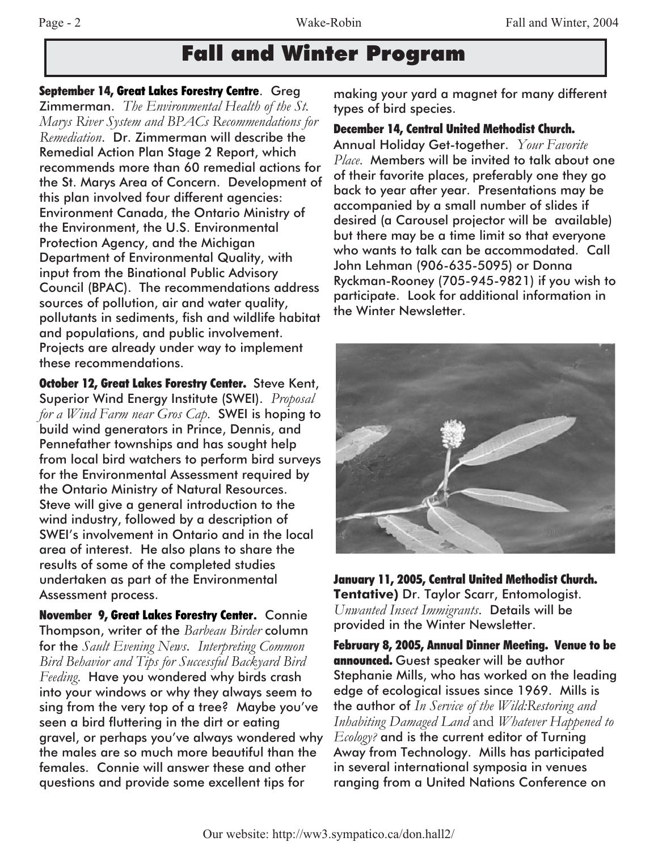## **Fall and Winter Program**

**September 14, Great Lakes Forestry Centre**. Greg

Zimmerman. *The Environmental Health of the St. Marys River System and BPACs Recommendations for Remediation*. Dr. Zimmerman will describe the Remedial Action Plan Stage 2 Report, which recommends more than 60 remedial actions for the St. Marys Area of Concern. Development of this plan involved four different agencies: Environment Canada, the Ontario Ministry of the Environment, the U.S. Environmental Protection Agency, and the Michigan Department of Environmental Quality, with input from the Binational Public Advisory Council (BPAC). The recommendations address sources of pollution, air and water quality, pollutants in sediments, fish and wildlife habitat and populations, and public involvement. Projects are already under way to implement these recommendations.

**October 12, Great Lakes Forestry Center.** Steve Kent, Superior Wind Energy Institute (SWEI). *Proposal for a Wind Farm near Gros Cap*. SWEI is hoping to build wind generators in Prince, Dennis, and Pennefather townships and has sought help from local bird watchers to perform bird surveys for the Environmental Assessment required by the Ontario Ministry of Natural Resources. Steve will give a general introduction to the wind industry, followed by a description of SWEI's involvement in Ontario and in the local area of interest. He also plans to share the results of some of the completed studies undertaken as part of the Environmental Assessment process.

**November 9, Great Lakes Forestry Center.** Connie Thompson, writer of the *Barbeau Birder* column for the *Sault Evening News*. *Interpreting Common Bird Behavior and Tips for Successful Backyard Bird Feeding*. Have you wondered why birds crash into your windows or why they always seem to sing from the very top of a tree? Maybe you've seen a bird fluttering in the dirt or eating gravel, or perhaps you've always wondered why the males are so much more beautiful than the females. Connie will answer these and other questions and provide some excellent tips for

making your yard a magnet for many different types of bird species.

#### **December 14, Central United Methodist Church.**

Annual Holiday Get-together. *Your Favorite Place*. Members will be invited to talk about one of their favorite places, preferably one they go back to year after year. Presentations may be accompanied by a small number of slides if desired (a Carousel projector will be available) but there may be a time limit so that everyone who wants to talk can be accommodated. Call John Lehman (906-635-5095) or Donna Ryckman-Rooney (705-945-9821) if you wish to participate. Look for additional information in the Winter Newsletter.



**January 11, 2005, Central United Methodist Church. Tentative)** Dr. Taylor Scarr, Entomologist. *Unwanted Insect Immigrants*. Details will be provided in the Winter Newsletter.

**February 8, 2005, Annual Dinner Meeting. Venue to be announced.** Guest speaker will be author Stephanie Mills, who has worked on the leading edge of ecological issues since 1969. Mills is the author of *In Service of the Wild:Restoring and Inhabiting Damaged Land* and *Whatever Happened to Ecology?* and is the current editor of Turning Away from Technology. Mills has participated in several international symposia in venues ranging from a United Nations Conference on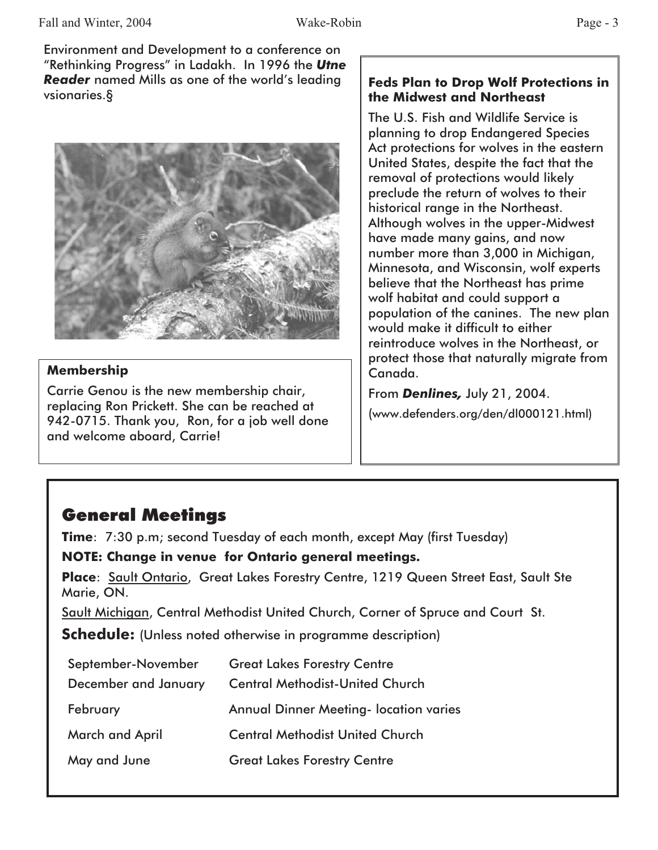Environment and Development to a conference on "Rethinking Progress" in Ladakh. In 1996 the *Utne Reader* named Mills as one of the world's leading vsionaries.§



#### **Membership**

Carrie Genou is the new membership chair, replacing Ron Prickett. She can be reached at 942-0715. Thank you, Ron, for a job well done and welcome aboard, Carrie!

#### **Feds Plan to Drop Wolf Protections in the Midwest and Northeast**

The U.S. Fish and Wildlife Service is planning to drop Endangered Species Act protections for wolves in the eastern United States, despite the fact that the removal of protections would likely preclude the return of wolves to their historical range in the Northeast. Although wolves in the upper-Midwest have made many gains, and now number more than 3,000 in Michigan, Minnesota, and Wisconsin, wolf experts believe that the Northeast has prime wolf habitat and could support a population of the canines. The new plan would make it difficult to either reintroduce wolves in the Northeast, or protect those that naturally migrate from Canada.

From *Denlines,* July 21, 2004.

(www.defenders.org/den/dl000121.html)

## **General Meetings**

**Time**: 7:30 p.m; second Tuesday of each month, except May (first Tuesday)

**NOTE: Change in venue for Ontario general meetings.**

**Place**: Sault Ontario, Great Lakes Forestry Centre, 1219 Queen Street East, Sault Ste Marie, ON.

Sault Michigan, Central Methodist United Church, Corner of Spruce and Court St.

**Schedule:** (Unless noted otherwise in programme description)

| September-November     | <b>Great Lakes Forestry Centre</b>            |
|------------------------|-----------------------------------------------|
| December and January   | <b>Central Methodist-United Church</b>        |
| February               | <b>Annual Dinner Meeting- location varies</b> |
| <b>March and April</b> | <b>Central Methodist United Church</b>        |
| May and June           | <b>Great Lakes Forestry Centre</b>            |
|                        |                                               |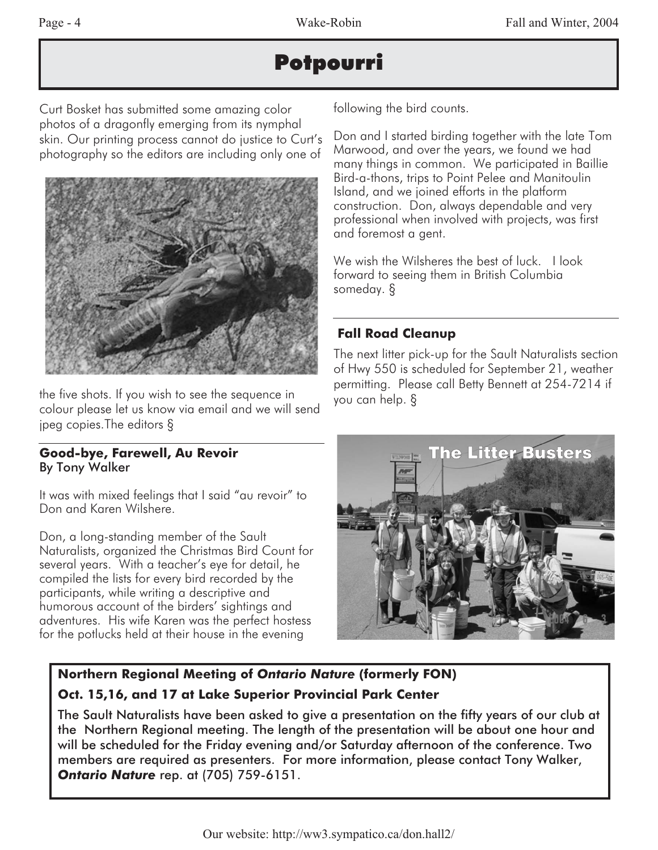## **Potpourri**

Curt Bosket has submitted some amazing color photos of a dragonfly emerging from its nymphal skin. Our printing process cannot do justice to Curt's photography so the editors are including only one of



the five shots. If you wish to see the sequence in colour please let us know via email and we will send jpeg copies.The editors §

#### **Good-bye, Farewell, Au Revoir** By Tony Walker

It was with mixed feelings that I said "au revoir" to Don and Karen Wilshere.

Don, a long-standing member of the Sault Naturalists, organized the Christmas Bird Count for several years. With a teacher's eye for detail, he compiled the lists for every bird recorded by the participants, while writing a descriptive and humorous account of the birders' sightings and adventures. His wife Karen was the perfect hostess for the potlucks held at their house in the evening

following the bird counts.

Don and I started birding together with the late Tom Marwood, and over the years, we found we had many things in common. We participated in Baillie Bird-a-thons, trips to Point Pelee and Manitoulin Island, and we joined efforts in the platform construction. Don, always dependable and very professional when involved with projects, was first and foremost a gent.

We wish the Wilsheres the best of luck. I look forward to seeing them in British Columbia someday. §

#### **Fall Road Cleanup**

The next litter pick-up for the Sault Naturalists section of Hwy 550 is scheduled for September 21, weather permitting. Please call Betty Bennett at 254-7214 if you can help. §



#### **Northern Regional Meeting of** *Ontario Nature* **(formerly FON) Oct. 15,16, and 17 at Lake Superior Provincial Park Center**

The Sault Naturalists have been asked to give a presentation on the fifty years of our club at the Northern Regional meeting. The length of the presentation will be about one hour and will be scheduled for the Friday evening and/or Saturday afternoon of the conference. Two members are required as presenters. For more information, please contact Tony Walker, *Ontario Nature* rep. at (705) 759-6151.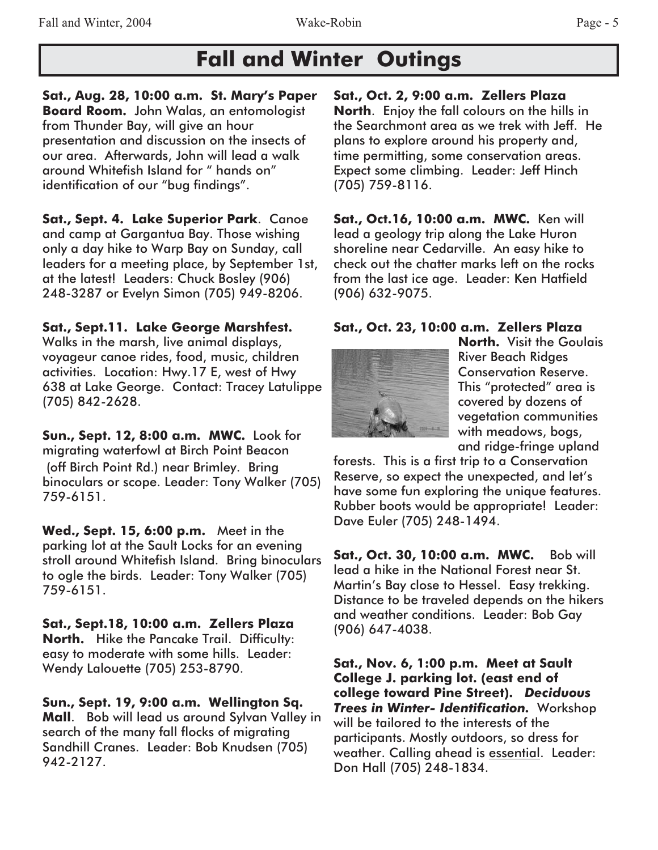## **Fall and Winter Outings**

**Sat., Aug. 28, 10:00 a.m. St. Mary's Paper Board Room.** John Walas, an entomologist from Thunder Bay, will give an hour presentation and discussion on the insects of our area. Afterwards, John will lead a walk around Whitefish Island for " hands on" identification of our "bug findings".

**Sat., Sept. 4. Lake Superior Park**. Canoe and camp at Gargantua Bay. Those wishing only a day hike to Warp Bay on Sunday, call leaders for a meeting place, by September 1st, at the latest! Leaders: Chuck Bosley (906) 248-3287 or Evelyn Simon (705) 949-8206.

#### **Sat., Sept.11. Lake George Marshfest.**

Walks in the marsh, live animal displays, voyageur canoe rides, food, music, children activities. Location: Hwy.17 E, west of Hwy 638 at Lake George. Contact: Tracey Latulippe (705) 842-2628.

**Sun., Sept. 12, 8:00 a.m. MWC.** Look for migrating waterfowl at Birch Point Beacon (off Birch Point Rd.) near Brimley. Bring binoculars or scope. Leader: Tony Walker (705) 759-6151.

**Wed., Sept. 15, 6:00 p.m.** Meet in the parking lot at the Sault Locks for an evening stroll around Whitefish Island. Bring binoculars to ogle the birds. Leader: Tony Walker (705) 759-6151.

**Sat., Sept.18, 10:00 a.m. Zellers Plaza North.** Hike the Pancake Trail. Difficulty: easy to moderate with some hills. Leader: Wendy Lalouette (705) 253-8790.

**Sun., Sept. 19, 9:00 a.m. Wellington Sq. Mall**. Bob will lead us around Sylvan Valley in search of the many fall flocks of migrating Sandhill Cranes. Leader: Bob Knudsen (705) 942-2127.

**Sat., Oct. 2, 9:00 a.m. Zellers Plaza North**. Enjoy the fall colours on the hills in the Searchmont area as we trek with Jeff. He plans to explore around his property and, time permitting, some conservation areas. Expect some climbing. Leader: Jeff Hinch (705) 759-8116.

**Sat., Oct.16, 10:00 a.m. MWC.** Ken will lead a geology trip along the Lake Huron shoreline near Cedarville. An easy hike to check out the chatter marks left on the rocks from the last ice age. Leader: Ken Hatfield (906) 632-9075.

#### **Sat., Oct. 23, 10:00 a.m. Zellers Plaza**



**North.** Visit the Goulais River Beach Ridges Conservation Reserve. This "protected" area is covered by dozens of vegetation communities with meadows, bogs, and ridge-fringe upland

forests. This is a first trip to a Conservation Reserve, so expect the unexpected, and let's have some fun exploring the unique features. Rubber boots would be appropriate! Leader: Dave Euler (705) 248-1494

**Sat., Oct. 30, 10:00 a.m. MWC.** Bob will lead a hike in the National Forest near St. Martin's Bay close to Hessel. Easy trekking. Distance to be traveled depends on the hikers and weather conditions. Leader: Bob Gay (906) 647-4038.

**Sat., Nov. 6, 1:00 p.m. Meet at Sault College J. parking lot. (east end of college toward Pine Street).** *Deciduous Trees in Winter- Identification.* Workshop will be tailored to the interests of the participants. Mostly outdoors, so dress for weather. Calling ahead is essential. Leader: Don Hall (705) 248-1834.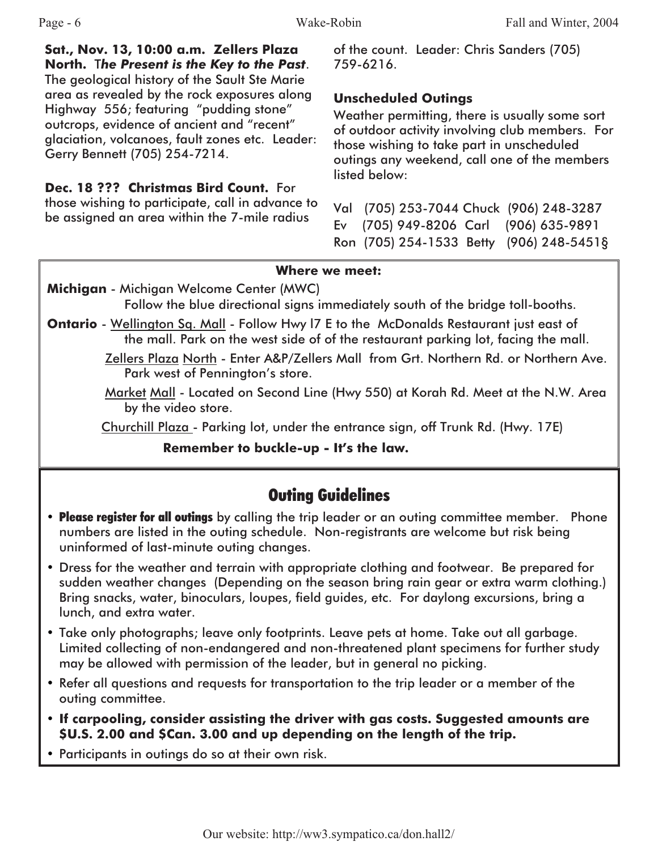**Sat., Nov. 13, 10:00 a.m. Zellers Plaza North.** T*he Present is the Key to the Past*. The geological history of the Sault Ste Marie area as revealed by the rock exposures along Highway 556; featuring "pudding stone" outcrops, evidence of ancient and "recent" glaciation, volcanoes, fault zones etc. Leader: Gerry Bennett (705) 254-7214.

**Dec. 18 ??? Christmas Bird Count.** For those wishing to participate, call in advance to be assigned an area within the 7-mile radius

of the count. Leader: Chris Sanders (705) 759-6216.

#### **Unscheduled Outings**

Weather permitting, there is usually some sort of outdoor activity involving club members. For those wishing to take part in unscheduled outings any weekend, call one of the members listed below:

Val (705) 253-7044 Chuck (906) 248-3287 Ev (705) 949-8206 Carl (906) 635-9891 Ron (705) 254-1533 Betty (906) 248-5451§

#### **Where we meet:**

**Michigan** - Michigan Welcome Center (MWC)

Follow the blue directional signs immediately south of the bridge toll-booths.

- **Ontario** Wellington Sq. Mall Follow Hwy I7 E to the McDonalds Restaurant just east of the mall. Park on the west side of of the restaurant parking lot, facing the mall.
	- Zellers Plaza North Enter A&P/Zellers Mall from Grt. Northern Rd. or Northern Ave. Park west of Pennington's store.
	- Market Mall Located on Second Line (Hwy 550) at Korah Rd. Meet at the N.W. Area by the video store.

Churchill Plaza - Parking lot, under the entrance sign, off Trunk Rd. (Hwy. 17E)

**Remember to buckle-up - It's the law.**

## **Outing Guidelines**

- Please register for all outings by calling the trip leader or an outing committee member. Phone numbers are listed in the outing schedule. Non-registrants are welcome but risk being uninformed of last-minute outing changes.
- Dress for the weather and terrain with appropriate clothing and footwear. Be prepared for sudden weather changes (Depending on the season bring rain gear or extra warm clothing.) Bring snacks, water, binoculars, loupes, field guides, etc. For daylong excursions, bring a lunch, and extra water.
- Take only photographs; leave only footprints. Leave pets at home. Take out all garbage. Limited collecting of non-endangered and non-threatened plant specimens for further study may be allowed with permission of the leader, but in general no picking.
- Refer all questions and requests for transportation to the trip leader or a member of the outing committee.
- **If carpooling, consider assisting the driver with gas costs. Suggested amounts are \$U.S. 2.00 and \$Can. 3.00 and up depending on the length of the trip.**
- Participants in outings do so at their own risk.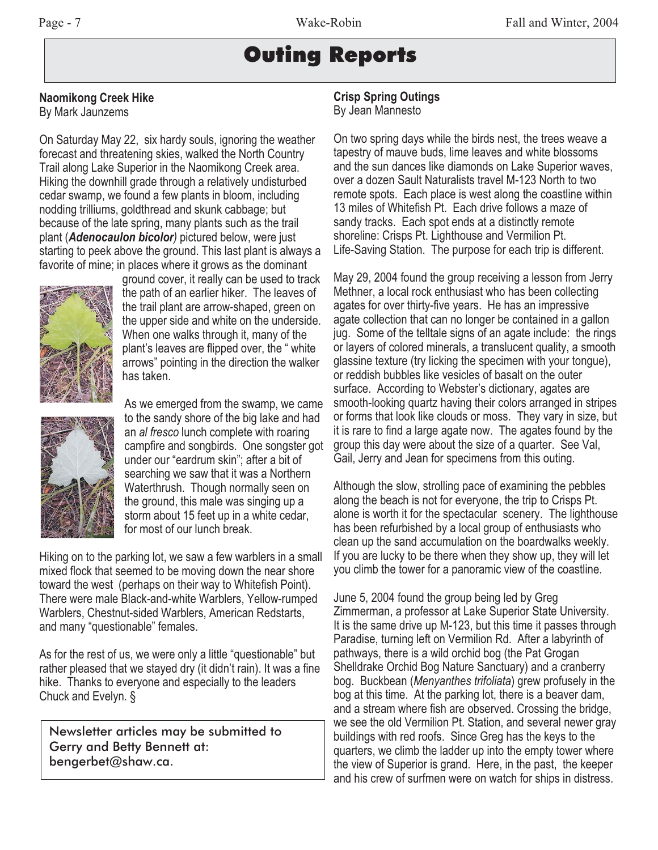## Outing Reports

#### **Naomikong Creek Hike**

By Mark Jaunzems

On Saturday May 22, six hardy souls, ignoring the weather forecast and threatening skies, walked the North Country Trail along Lake Superior in the Naomikong Creek area. Hiking the downhill grade through a relatively undisturbed cedar swamp, we found a few plants in bloom, including nodding trilliums, goldthread and skunk cabbage; but because of the late spring, many plants such as the trail plant (*Adenocaulon bicolor)* pictured below, were just starting to peek above the ground. This last plant is always a favorite of mine; in places where it grows as the dominant



ground cover, it really can be used to track the path of an earlier hiker. The leaves of the trail plant are arrow-shaped, green on the upper side and white on the underside. When one walks through it, many of the plant's leaves are flipped over, the " white arrows" pointing in the direction the walker has taken.



As we emerged from the swamp, we came to the sandy shore of the big lake and had an *al fresco* lunch complete with roaring campfire and songbirds. One songster got under our "eardrum skin"; after a bit of searching we saw that it was a Northern Waterthrush. Though normally seen on the ground, this male was singing up a storm about 15 feet up in a white cedar, for most of our lunch break.

Hiking on to the parking lot, we saw a few warblers in a small mixed flock that seemed to be moving down the near shore toward the west (perhaps on their way to Whitefish Point). There were male Black-and-white Warblers, Yellow-rumped Warblers, Chestnut-sided Warblers, American Redstarts, and many "questionable" females.

As for the rest of us, we were only a little "questionable" but rather pleased that we stayed dry (it didn't rain). It was a fine hike. Thanks to everyone and especially to the leaders Chuck and Evelyn. §

Newsletter articles may be submitted to Gerry and Betty Bennett at: bengerbet@shaw.ca.

#### **Crisp Spring Outings** By Jean Mannesto

On two spring days while the birds nest, the trees weave a tapestry of mauve buds, lime leaves and white blossoms and the sun dances like diamonds on Lake Superior waves, over a dozen Sault Naturalists travel M-123 North to two remote spots. Each place is west along the coastline within 13 miles of Whitefish Pt. Each drive follows a maze of sandy tracks. Each spot ends at a distinctly remote shoreline: Crisps Pt. Lighthouse and Vermilion Pt. Life-Saving Station. The purpose for each trip is different.

May 29, 2004 found the group receiving a lesson from Jerry Methner, a local rock enthusiast who has been collecting agates for over thirty-five years. He has an impressive agate collection that can no longer be contained in a gallon jug. Some of the telltale signs of an agate include: the rings or layers of colored minerals, a translucent quality, a smooth glassine texture (try licking the specimen with your tongue), or reddish bubbles like vesicles of basalt on the outer surface. According to Webster's dictionary, agates are smooth-looking quartz having their colors arranged in stripes or forms that look like clouds or moss. They vary in size, but it is rare to find a large agate now. The agates found by the group this day were about the size of a quarter. See Val, Gail, Jerry and Jean for specimens from this outing.

Although the slow, strolling pace of examining the pebbles along the beach is not for everyone, the trip to Crisps Pt. alone is worth it for the spectacular scenery. The lighthouse has been refurbished by a local group of enthusiasts who clean up the sand accumulation on the boardwalks weekly. If you are lucky to be there when they show up, they will let you climb the tower for a panoramic view of the coastline.

June 5, 2004 found the group being led by Greg Zimmerman, a professor at Lake Superior State University. It is the same drive up M-123, but this time it passes through Paradise, turning left on Vermilion Rd. After a labyrinth of pathways, there is a wild orchid bog (the Pat Grogan Shelldrake Orchid Bog Nature Sanctuary) and a cranberry bog. Buckbean (*Menyanthes trifoliata*) grew profusely in the bog at this time. At the parking lot, there is a beaver dam, and a stream where fish are observed. Crossing the bridge, we see the old Vermilion Pt. Station, and several newer gray buildings with red roofs. Since Greg has the keys to the quarters, we climb the ladder up into the empty tower where the view of Superior is grand. Here, in the past, the keeper and his crew of surfmen were on watch for ships in distress.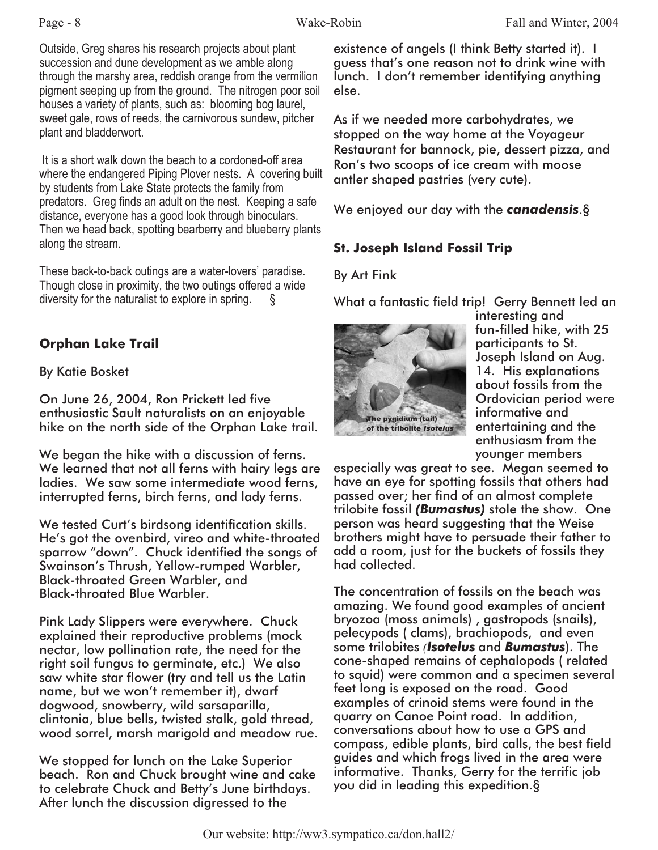Outside, Greg shares his research projects about plant succession and dune development as we amble along through the marshy area, reddish orange from the vermilion pigment seeping up from the ground. The nitrogen poor soil houses a variety of plants, such as: blooming bog laurel, sweet gale, rows of reeds, the carnivorous sundew, pitcher plant and bladderwort.

It is a short walk down the beach to a cordoned-off area where the endangered Piping Plover nests. A covering built by students from Lake State protects the family from predators. Greg finds an adult on the nest. Keeping a safe distance, everyone has a good look through binoculars. Then we head back, spotting bearberry and blueberry plants along the stream.

These back-to-back outings are a water-lovers' paradise. Though close in proximity, the two outings offered a wide diversity for the naturalist to explore in spring.  $\S$ 

#### **Orphan Lake Trail**

#### By Katie Bosket

On June 26, 2004, Ron Prickett led five enthusiastic Sault naturalists on an enjoyable hike on the north side of the Orphan Lake trail.

We began the hike with a discussion of ferns. We learned that not all ferns with hairy legs are ladies. We saw some intermediate wood ferns, interrupted ferns, birch ferns, and lady ferns.

We tested Curt's birdsong identification skills. He's got the ovenbird, vireo and white-throated sparrow "down". Chuck identified the songs of Swainson's Thrush, Yellow-rumped Warbler, Black-throated Green Warbler, and Black-throated Blue Warbler.

Pink Lady Slippers were everywhere. Chuck explained their reproductive problems (mock nectar, low pollination rate, the need for the right soil fungus to germinate, etc.) We also saw white star flower (try and tell us the Latin name, but we won't remember it), dwarf dogwood, snowberry, wild sarsaparilla, clintonia, blue bells, twisted stalk, gold thread, wood sorrel, marsh marigold and meadow rue.

We stopped for lunch on the Lake Superior beach. Ron and Chuck brought wine and cake to celebrate Chuck and Betty's June birthdays. After lunch the discussion digressed to the

existence of angels (I think Betty started it). I guess that's one reason not to drink wine with lunch. I don't remember identifying anything else.

As if we needed more carbohydrates, we stopped on the way home at the Voyageur Restaurant for bannock, pie, dessert pizza, and Ron's two scoops of ice cream with moose antler shaped pastries (very cute).

We enjoyed our day with the *canadensis*.§

#### **St. Joseph Island Fossil Trip**

#### By Art Fink

What a fantastic field trip! Gerry Bennett led an



interesting and fun-filled hike, with 25 participants to St. Joseph Island on Aug. 14. His explanations about fossils from the Ordovician period were informative and entertaining and the enthusiasm from the younger members

especially was great to see. Megan seemed to have an eye for spotting fossils that others had passed over; her find of an almost complete trilobite fossil *(Bumastus)* stole the show. One person was heard suggesting that the Weise brothers might have to persuade their father to add a room, just for the buckets of fossils they had collected.

The concentration of fossils on the beach was amazing. We found good examples of ancient bryozoa (moss animals) , gastropods (snails), pelecypods ( clams), brachiopods, and even some trilobites *(Isotelus* and *Bumastus*). The cone-shaped remains of cephalopods ( related to squid) were common and a specimen several feet long is exposed on the road. Good examples of crinoid stems were found in the quarry on Canoe Point road. In addition, conversations about how to use a GPS and compass, edible plants, bird calls, the best field guides and which frogs lived in the area were informative. Thanks, Gerry for the terrific job you did in leading this expedition.§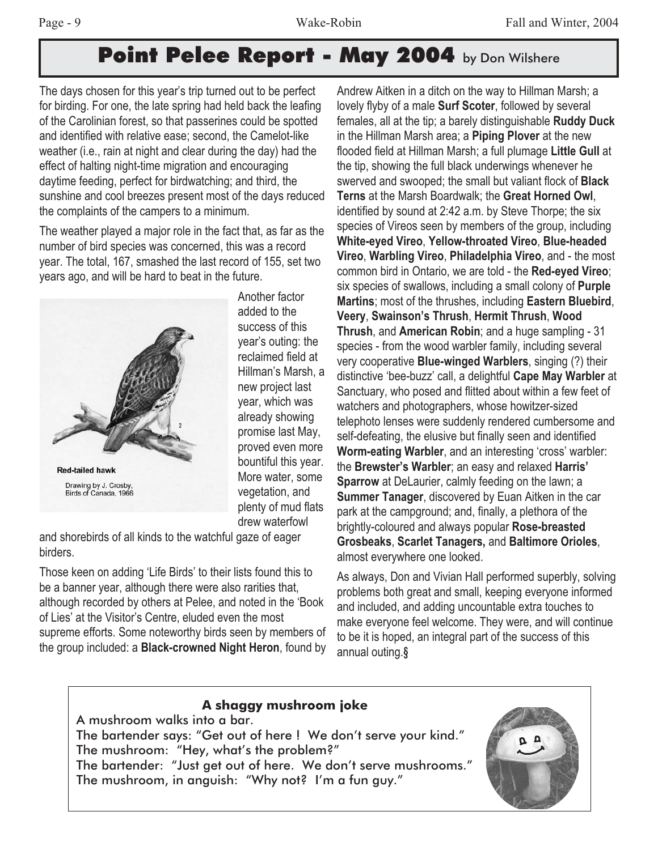## **Point Pelee Report - May 2004** by Don Wilshere

The days chosen for this year's trip turned out to be perfect for birding. For one, the late spring had held back the leafing of the Carolinian forest, so that passerines could be spotted and identified with relative ease; second, the Camelot-like weather (i.e., rain at night and clear during the day) had the effect of halting night-time migration and encouraging daytime feeding, perfect for birdwatching; and third, the sunshine and cool breezes present most of the days reduced the complaints of the campers to a minimum.

The weather played a major role in the fact that, as far as the number of bird species was concerned, this was a record year. The total, 167, smashed the last record of 155, set two years ago, and will be hard to beat in the future.



Another factor added to the success of this year's outing: the reclaimed field at Hillman's Marsh, a new project last year, which was already showing promise last May, proved even more bountiful this year. More water, some vegetation, and plenty of mud flats drew waterfowl

and shorebirds of all kinds to the watchful gaze of eager birders.

Those keen on adding 'Life Birds' to their lists found this to be a banner year, although there were also rarities that, although recorded by others at Pelee, and noted in the 'Book of Lies' at the Visitor's Centre, eluded even the most supreme efforts. Some noteworthy birds seen by members of the group included: a **Black-crowned Night Heron**, found by

Andrew Aitken in a ditch on the way to Hillman Marsh; a lovely flyby of a male **Surf Scoter**, followed by several females, all at the tip; a barely distinguishable **Ruddy Duck** in the Hillman Marsh area; a **Piping Plover** at the new flooded field at Hillman Marsh; a full plumage **Little Gull** at the tip, showing the full black underwings whenever he swerved and swooped; the small but valiant flock of **Black Terns** at the Marsh Boardwalk; the **Great Horned Owl**, identified by sound at 2:42 a.m. by Steve Thorpe; the six species of Vireos seen by members of the group, including **White-eyed Vireo**, **Yellow-throated Vireo**, **Blue-headed Vireo**, **Warbling Vireo**, **Philadelphia Vireo**, and - the most common bird in Ontario, we are told - the **Red-eyed Vireo**; six species of swallows, including a small colony of **Purple Martins**; most of the thrushes, including **Eastern Bluebird**, **Veery**, **Swainson's Thrush**, **Hermit Thrush**, **Wood Thrush**, and **American Robin**; and a huge sampling - 31 species - from the wood warbler family, including several very cooperative **Blue-winged Warblers**, singing (?) their distinctive 'bee-buzz' call, a delightful **Cape May Warbler** at Sanctuary, who posed and flitted about within a few feet of watchers and photographers, whose howitzer-sized telephoto lenses were suddenly rendered cumbersome and self-defeating, the elusive but finally seen and identified **Worm-eating Warbler**, and an interesting 'cross' warbler: the **Brewster's Warbler**; an easy and relaxed **Harris' Sparrow** at DeLaurier, calmly feeding on the lawn; a **Summer Tanager**, discovered by Euan Aitken in the car park at the campground; and, finally, a plethora of the brightly-coloured and always popular **Rose-breasted Grosbeaks**, **Scarlet Tanagers,** and **Baltimore Orioles**, almost everywhere one looked.

As always, Don and Vivian Hall performed superbly, solving problems both great and small, keeping everyone informed and included, and adding uncountable extra touches to make everyone feel welcome. They were, and will continue to be it is hoped, an integral part of the success of this annual outing.*§*

#### **A shaggy mushroom joke**

A mushroom walks into a bar. The bartender says: "Get out of here ! We don't serve your kind." The mushroom: "Hey, what's the problem?" The bartender: "Just get out of here. We don't serve mushrooms." The mushroom, in anguish: "Why not? I'm a fun guy."